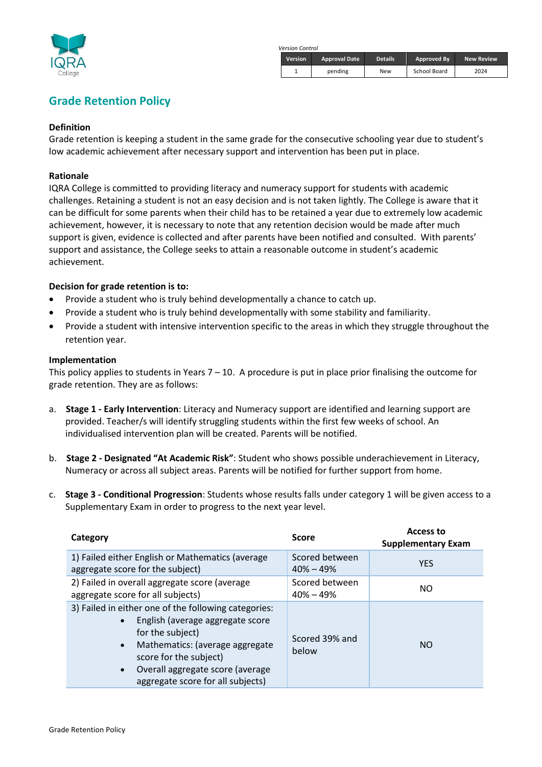

*Version Control*

| <b>Version</b> | <b>Approval Date</b> | <b>Details</b> | Approved By  | <b>New Review</b> |
|----------------|----------------------|----------------|--------------|-------------------|
|                | pending              | New            | School Board | 2024              |

# **Grade Retention Policy**

#### **Definition**

Grade retention is keeping a student in the same grade for the consecutive schooling year due to student's low academic achievement after necessary support and intervention has been put in place.

### **Rationale**

IQRA College is committed to providing literacy and numeracy support for students with academic challenges. Retaining a student is not an easy decision and is not taken lightly. The College is aware that it can be difficult for some parents when their child has to be retained a year due to extremely low academic achievement, however, it is necessary to note that any retention decision would be made after much support is given, evidence is collected and after parents have been notified and consulted. With parents' support and assistance, the College seeks to attain a reasonable outcome in student's academic achievement.

## **Decision for grade retention is to:**

- Provide a student who is truly behind developmentally a chance to catch up.
- Provide a student who is truly behind developmentally with some stability and familiarity.
- Provide a student with intensive intervention specific to the areas in which they struggle throughout the retention year.

#### **Implementation**

This policy applies to students in Years  $7 - 10$ . A procedure is put in place prior finalising the outcome for grade retention. They are as follows:

- a. **Stage 1 - Early Intervention**: Literacy and Numeracy support are identified and learning support are provided. Teacher/s will identify struggling students within the first few weeks of school. An individualised intervention plan will be created. Parents will be notified.
- b. **Stage 2 - Designated "At Academic Risk"**: Student who shows possible underachievement in Literacy, Numeracy or across all subject areas. Parents will be notified for further support from home.
- c. **Stage 3 - Conditional Progression**: Students whose results falls under category 1 will be given access to a Supplementary Exam in order to progress to the next year level.

| Category                                                                                                                                                                                                                                                                                  | <b>Score</b>                    | Access to<br><b>Supplementary Exam</b> |
|-------------------------------------------------------------------------------------------------------------------------------------------------------------------------------------------------------------------------------------------------------------------------------------------|---------------------------------|----------------------------------------|
| 1) Failed either English or Mathematics (average<br>aggregate score for the subject)                                                                                                                                                                                                      | Scored between<br>$40\% - 49\%$ | <b>YES</b>                             |
| 2) Failed in overall aggregate score (average<br>aggregate score for all subjects)                                                                                                                                                                                                        | Scored between<br>$40\% - 49\%$ | NO.                                    |
| 3) Failed in either one of the following categories:<br>English (average aggregate score<br>$\bullet$<br>for the subject)<br>Mathematics: (average aggregate<br>$\bullet$<br>score for the subject)<br>Overall aggregate score (average<br>$\bullet$<br>aggregate score for all subjects) | Scored 39% and<br>below         | NO.                                    |